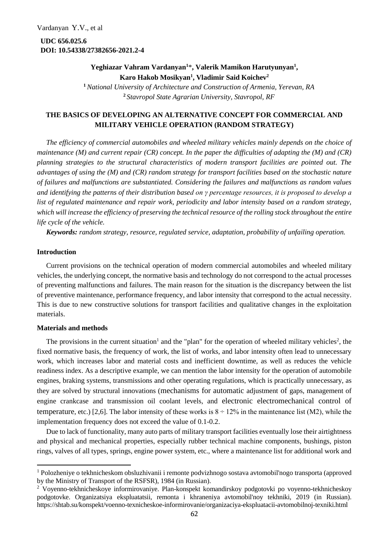**UDC 656.025.6 DOI: 10.54338/27382656-2021.2-4**

> **Yeghiazar Vahram Vardanyan<sup>1</sup>**\***, Valerik Mamikon Harutyunyan<sup>1</sup> , Karo Hakob Mosikyan<sup>1</sup> , Vladimir Said Koichev<sup>2</sup> <sup>1</sup>***National University of Architecture and Construction of Armenia, Yerevan, RA*

> > **<sup>2</sup>***Stavropol State Agrarian University, Stavropol, RF*

## **THE BASICS OF DEVELOPING AN ALTERNATIVE CONCEPT FOR COMMERCIAL AND MILITARY VEHICLE OPERATION (RANDOM STRATEGY)**

*The efficiency of commercial automobiles and wheeled military vehicles mainly depends on the choice of maintenance (M) and current repair (CR) concept. In the paper the difficulties of adapting the (M) and (CR) planning strategies to the structural characteristics of modern transport facilities are pointed out. The advantages of using the (M) and (CR) random strategy for transport facilities based on the stochastic nature of failures and malfunctions are substantiated. Considering the failures and malfunctions as random values and identifying the patterns of their distribution based on γ percentage resources, it is proposed to develop a list of regulated maintenance and repair work, periodicity and labor intensity based on a random strategy, which will increase the efficiency of preserving the technical resource of the rolling stock throughout the entire life cycle of the vehicle.*

*Keywords: random strategy, resource, regulated service, adaptation, probability of unfailing operation.* 

## **Introduction**

**.** 

Current provisions on the technical operation of modern commercial automobiles and wheeled military vehicles, the underlying concept, the normative basis and technology do not correspond to the actual processes of preventing malfunctions and failures. The main reason for the situation is the discrepancy between the list of preventive maintenance, performance frequency, and labor intensity that correspond to the actual necessity. This is due to new constructive solutions for transport facilities and qualitative changes in the exploitation materials.

## **Materials and methods**

The provisions in the current situation<sup>1</sup> and the "plan" for the operation of wheeled military vehicles<sup>2</sup>, the fixed normative basis, the frequency of work, the list of works, and labor intensity often lead to unnecessary work, which increases labor and material costs and inefficient downtime, as well as reduces the vehicle readiness index. As a descriptive example, we can mention the labor intensity for the operation of automobile engines, braking systems, transmissions and other operating regulations, which is practically unnecessary, as they are solved by structural innovations (mechanisms for automatic adjustment of gaps, management of engine crankcase and transmission oil coolant levels, and electronic electromechanical control of temperature, etc.) [2,6]. The labor intensity of these works is  $8 \div 12\%$  in the maintenance list (M2), while the implementation frequency does not exceed the value of 0.1-0.2.

Due to lack of functionality, many auto parts of military transport facilities eventually lose their airtightness and physical and mechanical properties, especially rubber technical machine components, bushings, piston rings, valves of all types, springs, engine power system, etc., where a maintenance list for additional work and

<sup>1</sup> Polozheniye o tekhnicheskom obsluzhivanii i remonte podvizhnogo sostava avtomobil'nogo transporta (approved by the Ministry of Transport of the RSFSR), 1984 (in Russian).

<sup>2</sup> Voyenno-tekhnicheskoye informirovaniye. Plan-konspekt komandirskoy podgotovki po voyenno-tekhnicheskoy podgotovke. Organizatsiya ekspluatatsii, remonta i khraneniya avtomobil'noy tekhniki, 2019 (in Russian). https://shtab.su/konspekt/voenno-texnicheskoe-informirovanie/organizaciya-ekspluatacii-avtomobilnoj-texniki.html